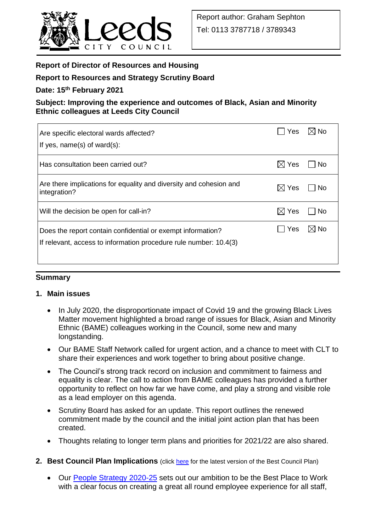

# **Report of Director of Resources and Housing**

# **Report to Resources and Strategy Scrutiny Board**

### **Date: 15th February 2021**

# **Subject: Improving the experience and outcomes of Black, Asian and Minority Ethnic colleagues at Leeds City Council**

| Are specific electoral wards affected?<br>If yes, $name(s)$ of ward $(s)$ :                                                      | Yes.            | l⊠ No          |
|----------------------------------------------------------------------------------------------------------------------------------|-----------------|----------------|
| Has consultation been carried out?                                                                                               | $\boxtimes$ Yes | No.            |
| Are there implications for equality and diversity and cohesion and<br>integration?                                               | $\boxtimes$ Yes | No.            |
| Will the decision be open for call-in?                                                                                           | $\boxtimes$ Yes | No.            |
| Does the report contain confidential or exempt information?<br>If relevant, access to information procedure rule number: 10.4(3) | <b>Yes</b>      | $\boxtimes$ No |

### **Summary**

### **1. Main issues**

- In July 2020, the disproportionate impact of Covid 19 and the growing Black Lives Matter movement highlighted a broad range of issues for Black, Asian and Minority Ethnic (BAME) colleagues working in the Council, some new and many longstanding.
- Our BAME Staff Network called for urgent action, and a chance to meet with CLT to share their experiences and work together to bring about positive change.
- The Council's strong track record on inclusion and commitment to fairness and equality is clear. The call to action from BAME colleagues has provided a further opportunity to reflect on how far we have come, and play a strong and visible role as a lead employer on this agenda.
- Scrutiny Board has asked for an update. This report outlines the renewed commitment made by the council and the initial joint action plan that has been created.
- Thoughts relating to longer term plans and priorities for 2021/22 are also shared.
- **2. Best Council Plan Implications** (click [here](https://www.leeds.gov.uk/your-council/plans-and-strategies/council-plans) for the latest version of the Best Council Plan)
	- Our [People Strategy 2020-25](https://www.leeds.gov.uk/docs/People%20Strategy%202020-2025.PDF) sets out our ambition to be the Best Place to Work with a clear focus on creating a great all round employee experience for all staff,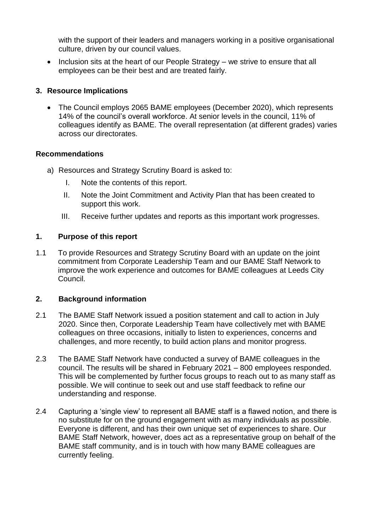with the support of their leaders and managers working in a positive organisational culture, driven by our council values.

• Inclusion sits at the heart of our People Strategy – we strive to ensure that all employees can be their best and are treated fairly.

# **3. Resource Implications**

 The Council employs 2065 BAME employees (December 2020), which represents 14% of the council's overall workforce. At senior levels in the council, 11% of colleagues identify as BAME. The overall representation (at different grades) varies across our directorates.

# **Recommendations**

- a) Resources and Strategy Scrutiny Board is asked to:
	- I. Note the contents of this report.
	- II. Note the Joint Commitment and Activity Plan that has been created to support this work.
	- III. Receive further updates and reports as this important work progresses.

# **1. Purpose of this report**

1.1 To provide Resources and Strategy Scrutiny Board with an update on the joint commitment from Corporate Leadership Team and our BAME Staff Network to improve the work experience and outcomes for BAME colleagues at Leeds City Council.

# **2. Background information**

- 2.1 The BAME Staff Network issued a position statement and call to action in July 2020. Since then, Corporate Leadership Team have collectively met with BAME colleagues on three occasions, initially to listen to experiences, concerns and challenges, and more recently, to build action plans and monitor progress.
- 2.3 The BAME Staff Network have conducted a survey of BAME colleagues in the council. The results will be shared in February 2021 – 800 employees responded. This will be complemented by further focus groups to reach out to as many staff as possible. We will continue to seek out and use staff feedback to refine our understanding and response.
- 2.4 Capturing a 'single view' to represent all BAME staff is a flawed notion, and there is no substitute for on the ground engagement with as many individuals as possible. Everyone is different, and has their own unique set of experiences to share. Our BAME Staff Network, however, does act as a representative group on behalf of the BAME staff community, and is in touch with how many BAME colleagues are currently feeling.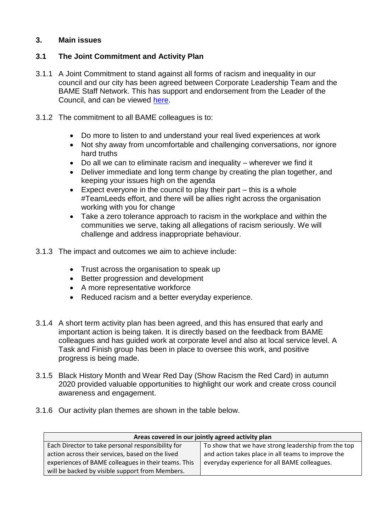# **3. Main issues**

### **3.1 The Joint Commitment and Activity Plan**

- 3.1.1 A Joint Commitment to stand against all forms of racism and inequality in our council and our city has been agreed between Corporate Leadership Team and the BAME Staff Network. This has support and endorsement from the Leader of the Council, and can be viewed [here.](https://www.youtube.com/watch?v=iV4AVh6HdCk&feature=youtu.be)
- 3.1.2 The commitment to all BAME colleagues is to:
	- Do more to listen to and understand your real lived experiences at work
	- Not shy away from uncomfortable and challenging conversations, nor ignore hard truths
	- Do all we can to eliminate racism and inequality wherever we find it
	- Deliver immediate and long term change by creating the plan together, and keeping your issues high on the agenda
	- Expect everyone in the council to play their part  $-$  this is a whole #TeamLeeds effort, and there will be allies right across the organisation working with you for change
	- Take a zero tolerance approach to racism in the workplace and within the communities we serve, taking all allegations of racism seriously. We will challenge and address inappropriate behaviour.
- 3.1.3 The impact and outcomes we aim to achieve include:
	- Trust across the organisation to speak up
	- Better progression and development
	- A more representative workforce
	- Reduced racism and a better everyday experience.
- 3.1.4 A short term activity plan has been agreed, and this has ensured that early and important action is being taken. It is directly based on the feedback from BAME colleagues and has guided work at corporate level and also at local service level. A Task and Finish group has been in place to oversee this work, and positive progress is being made.
- 3.1.5 Black History Month and Wear Red Day (Show Racism the Red Card) in autumn 2020 provided valuable opportunities to highlight our work and create cross council awareness and engagement.
- 3.1.6 Our activity plan themes are shown in the table below.

| Areas covered in our jointly agreed activity plan   |                                                     |  |
|-----------------------------------------------------|-----------------------------------------------------|--|
| Each Director to take personal responsibility for   | To show that we have strong leadership from the top |  |
| action across their services, based on the lived    | and action takes place in all teams to improve the  |  |
| experiences of BAME colleagues in their teams. This | everyday experience for all BAME colleagues.        |  |
| will be backed by visible support from Members.     |                                                     |  |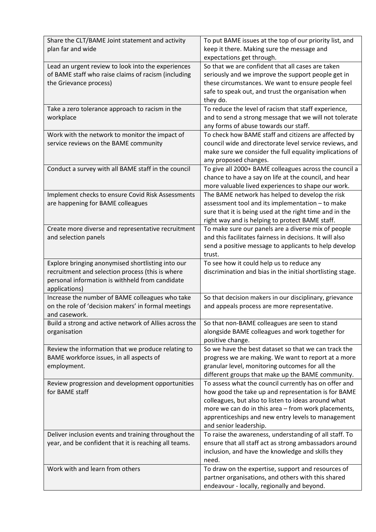| Share the CLT/BAME Joint statement and activity<br>plan far and wide                                                                                                      | To put BAME issues at the top of our priority list, and<br>keep it there. Making sure the message and<br>expectations get through.                                                                                                                                                                         |
|---------------------------------------------------------------------------------------------------------------------------------------------------------------------------|------------------------------------------------------------------------------------------------------------------------------------------------------------------------------------------------------------------------------------------------------------------------------------------------------------|
| Lead an urgent review to look into the experiences<br>of BAME staff who raise claims of racism (including<br>the Grievance process)                                       | So that we are confident that all cases are taken<br>seriously and we improve the support people get in<br>these circumstances. We want to ensure people feel<br>safe to speak out, and trust the organisation when<br>they do.                                                                            |
| Take a zero tolerance approach to racism in the<br>workplace                                                                                                              | To reduce the level of racism that staff experience,<br>and to send a strong message that we will not tolerate<br>any forms of abuse towards our staff.                                                                                                                                                    |
| Work with the network to monitor the impact of<br>service reviews on the BAME community                                                                                   | To check how BAME staff and citizens are affected by<br>council wide and directorate level service reviews, and<br>make sure we consider the full equality implications of<br>any proposed changes.                                                                                                        |
| Conduct a survey with all BAME staff in the council                                                                                                                       | To give all 2000+ BAME colleagues across the council a<br>chance to have a say on life at the council, and hear<br>more valuable lived experiences to shape our work.                                                                                                                                      |
| Implement checks to ensure Covid Risk Assessments<br>are happening for BAME colleagues                                                                                    | The BAME network has helped to develop the risk<br>assessment tool and its implementation - to make<br>sure that it is being used at the right time and in the<br>right way and is helping to protect BAME staff.                                                                                          |
| Create more diverse and representative recruitment<br>and selection panels                                                                                                | To make sure our panels are a diverse mix of people<br>and this facilitates fairness in decisions. It will also<br>send a positive message to applicants to help develop<br>trust.                                                                                                                         |
| Explore bringing anonymised shortlisting into our<br>recruitment and selection process (this is where<br>personal information is withheld from candidate<br>applications) | To see how it could help us to reduce any<br>discrimination and bias in the initial shortlisting stage.                                                                                                                                                                                                    |
| Increase the number of BAME colleagues who take<br>on the role of 'decision makers' in formal meetings<br>and casework.                                                   | So that decision makers in our disciplinary, grievance<br>and appeals process are more representative.                                                                                                                                                                                                     |
| Build a strong and active network of Allies across the<br>organisation                                                                                                    | So that non-BAME colleagues are seen to stand<br>alongside BAME colleagues and work together for<br>positive change.                                                                                                                                                                                       |
| Review the information that we produce relating to<br>BAME workforce issues, in all aspects of<br>employment.                                                             | So we have the best dataset so that we can track the<br>progress we are making. We want to report at a more<br>granular level, monitoring outcomes for all the<br>different groups that make up the BAME community.                                                                                        |
| Review progression and development opportunities<br>for BAME staff                                                                                                        | To assess what the council currently has on offer and<br>how good the take up and representation is for BAME<br>colleagues, but also to listen to ideas around what<br>more we can do in this area - from work placements,<br>apprenticeships and new entry levels to management<br>and senior leadership. |
| Deliver inclusion events and training throughout the<br>year, and be confident that it is reaching all teams.                                                             | To raise the awareness, understanding of all staff. To<br>ensure that all staff act as strong ambassadors around<br>inclusion, and have the knowledge and skills they<br>need.                                                                                                                             |
| Work with and learn from others                                                                                                                                           | To draw on the expertise, support and resources of<br>partner organisations, and others with this shared<br>endeavour - locally, regionally and beyond.                                                                                                                                                    |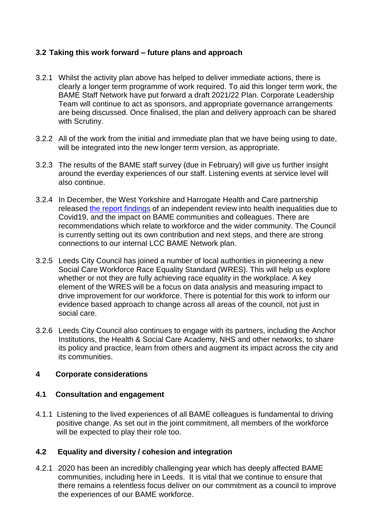## **3.2 Taking this work forward – future plans and approach**

- 3.2.1 Whilst the activity plan above has helped to deliver immediate actions, there is clearly a longer term programme of work required. To aid this longer term work, the BAME Staff Network have put forward a draft 2021/22 Plan. Corporate Leadership Team will continue to act as sponsors, and appropriate governance arrangements are being discussed. Once finalised, the plan and delivery approach can be shared with Scrutiny.
- 3.2.2 All of the work from the initial and immediate plan that we have being using to date, will be integrated into the new longer term version, as appropriate.
- 3.2.3 The results of the BAME staff survey (due in February) will give us further insight around the everday experiences of our staff. Listening events at service level will also continue.
- 3.2.4 In December, the West Yorkshire and Harrogate Health and Care partnership released [the report findings](https://www.wyhpartnership.co.uk/publications/tackling-health-inequalities-for-bame-communities-and-colleagues) of an independent review into health inequalities due to Covid19, and the impact on BAME communities and colleagues. There are recommendations which relate to workforce and the wider community. The Council is currently setting out its own contribution and next steps, and there are strong connections to our internal LCC BAME Network plan.
- 3.2.5 Leeds City Council has joined a number of local authorities in pioneering a new Social Care Workforce Race Equality Standard (WRES). This will help us explore whether or not they are fully achieving race equality in the workplace. A key element of the WRES will be a focus on data analysis and measuring impact to drive improvement for our workforce. There is potential for this work to inform our evidence based approach to change across all areas of the council, not just in social care.
- 3.2.6 Leeds City Council also continues to engage with its partners, including the Anchor Institutions, the Health & Social Care Academy, NHS and other networks, to share its policy and practice, learn from others and augment its impact across the city and its communities.

### **4 Corporate considerations**

### **4.1 Consultation and engagement**

4.1.1 Listening to the lived experiences of all BAME colleagues is fundamental to driving positive change. As set out in the joint commitment, all members of the workforce will be expected to play their role too.

### **4.2 Equality and diversity / cohesion and integration**

4.2.1 2020 has been an incredibly challenging year which has deeply affected BAME communities, including here in Leeds. It is vital that we continue to ensure that there remains a relentless focus deliver on our commitment as a council to improve the experiences of our BAME workforce.